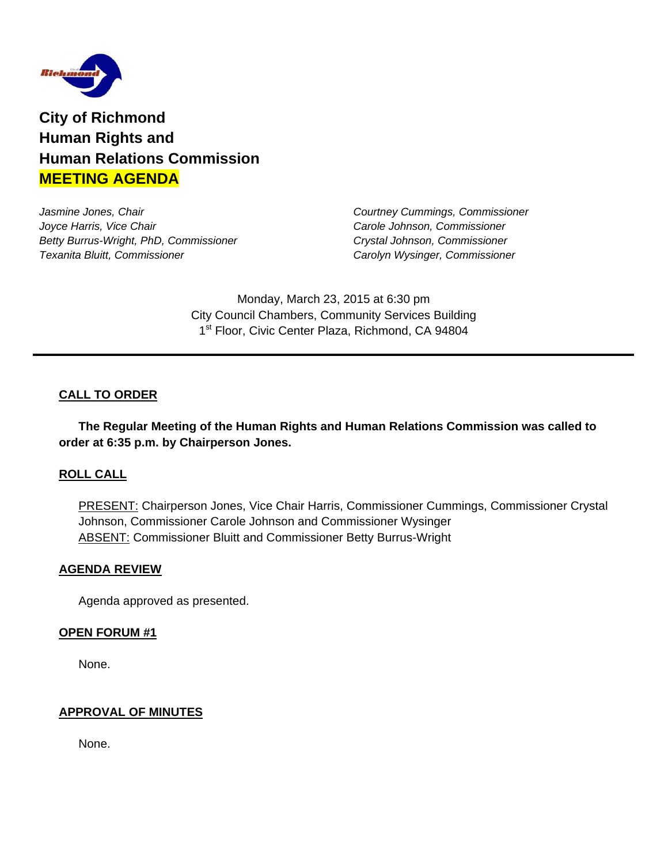

**City of Richmond Human Rights and Human Relations Commission MEETING AGENDA**

*Jasmine Jones, Chair Courtney Cummings, Commissioner Joyce Harris, Vice Chair* **Carole Johnson, Commissioner** *Carole Johnson, Commissioner Carole Johnson, Commissioner Betty Burrus-Wright, PhD, Commissioner Crystal Johnson, Commissioner Texanita Bluitt, Commissioner Carolyn Wysinger, Commissioner* 

Monday, March 23, 2015 at 6:30 pm City Council Chambers, Community Services Building 1<sup>st</sup> Floor, Civic Center Plaza, Richmond, CA 94804

## **CALL TO ORDER**

 **The Regular Meeting of the Human Rights and Human Relations Commission was called to order at 6:35 p.m. by Chairperson Jones.** 

### **ROLL CALL**

PRESENT: Chairperson Jones, Vice Chair Harris, Commissioner Cummings, Commissioner Crystal Johnson, Commissioner Carole Johnson and Commissioner Wysinger **ABSENT: Commissioner Bluitt and Commissioner Betty Burrus-Wright** 

#### **AGENDA REVIEW**

Agenda approved as presented.

#### **OPEN FORUM #1**

None.

#### **APPROVAL OF MINUTES**

None.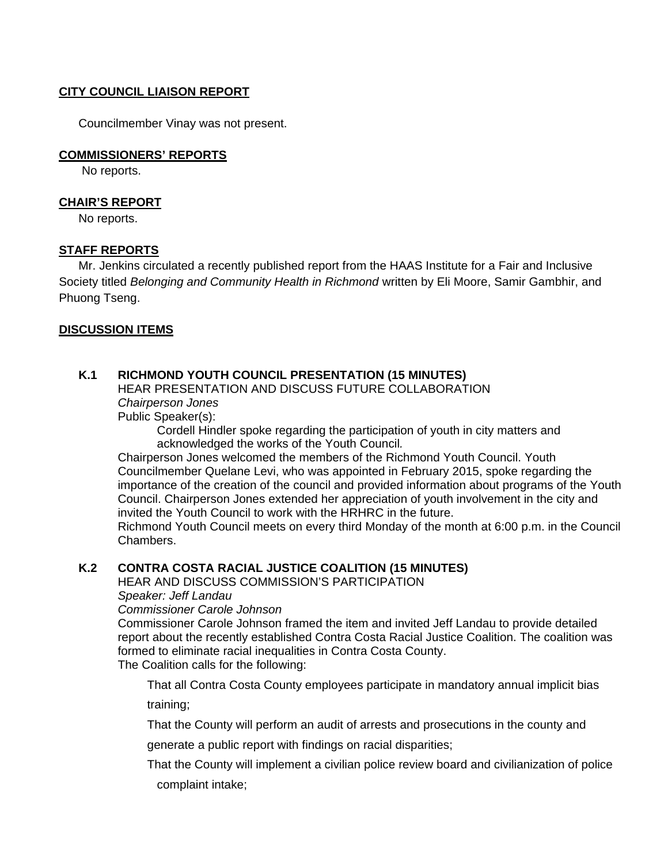### **CITY COUNCIL LIAISON REPORT**

Councilmember Vinay was not present.

#### **COMMISSIONERS' REPORTS**

No reports.

#### **CHAIR'S REPORT**

No reports.

### **STAFF REPORTS**

 Mr. Jenkins circulated a recently published report from the HAAS Institute for a Fair and Inclusive Society titled *Belonging and Community Health in Richmond* written by Eli Moore, Samir Gambhir, and Phuong Tseng.

### **DISCUSSION ITEMS**

### **K.1 RICHMOND YOUTH COUNCIL PRESENTATION (15 MINUTES)**

HEAR PRESENTATION AND DISCUSS FUTURE COLLABORATION  *Chairperson Jones* 

Public Speaker(s):

Cordell Hindler spoke regarding the participation of youth in city matters and acknowledged the works of the Youth Council*.* 

Chairperson Jones welcomed the members of the Richmond Youth Council. Youth Councilmember Quelane Levi, who was appointed in February 2015, spoke regarding the importance of the creation of the council and provided information about programs of the Youth Council. Chairperson Jones extended her appreciation of youth involvement in the city and invited the Youth Council to work with the HRHRC in the future.

Richmond Youth Council meets on every third Monday of the month at 6:00 p.m. in the Council Chambers.

### **K.2 CONTRA COSTA RACIAL JUSTICE COALITION (15 MINUTES)**

HEAR AND DISCUSS COMMISSION'S PARTICIPATION

#### *Speaker: Jeff Landau*

*Commissioner Carole Johnson* 

Commissioner Carole Johnson framed the item and invited Jeff Landau to provide detailed report about the recently established Contra Costa Racial Justice Coalition. The coalition was formed to eliminate racial inequalities in Contra Costa County. The Coalition calls for the following:

That all Contra Costa County employees participate in mandatory annual implicit bias training;

That the County will perform an audit of arrests and prosecutions in the county and

generate a public report with findings on racial disparities;

That the County will implement a civilian police review board and civilianization of police complaint intake;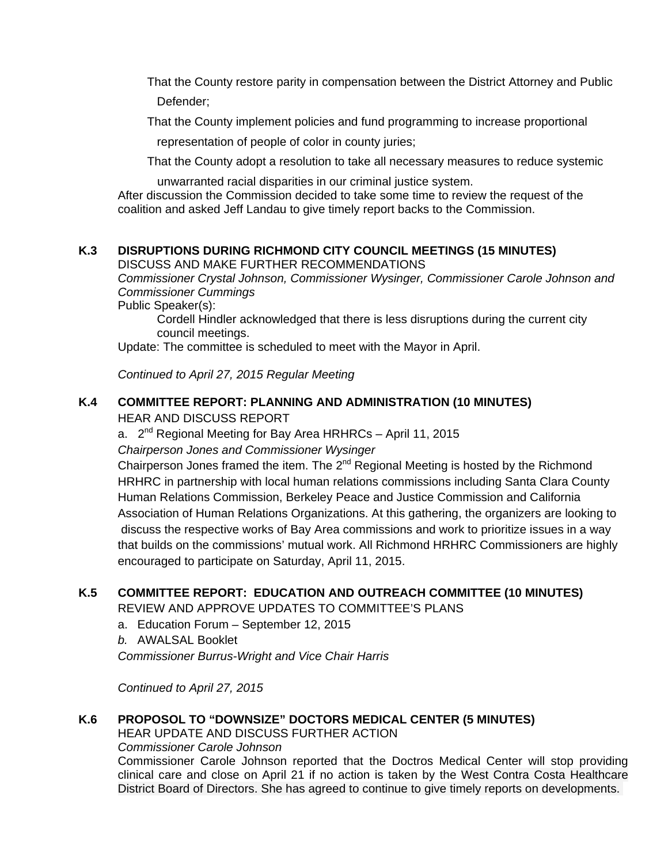That the County restore parity in compensation between the District Attorney and Public Defender;

That the County implement policies and fund programming to increase proportional

representation of people of color in county juries;

That the County adopt a resolution to take all necessary measures to reduce systemic

unwarranted racial disparities in our criminal justice system.

After discussion the Commission decided to take some time to review the request of the coalition and asked Jeff Landau to give timely report backs to the Commission.

### **K.3 DISRUPTIONS DURING RICHMOND CITY COUNCIL MEETINGS (15 MINUTES)**

DISCUSS AND MAKE FURTHER RECOMMENDATIONS

*Commissioner Crystal Johnson, Commissioner Wysinger, Commissioner Carole Johnson and Commissioner Cummings* 

Public Speaker(s):

Cordell Hindler acknowledged that there is less disruptions during the current city council meetings.

Update: The committee is scheduled to meet with the Mayor in April.

*Continued to April 27, 2015 Regular Meeting*

# **K.4 COMMITTEE REPORT: PLANNING AND ADMINISTRATION (10 MINUTES)**

HEAR AND DISCUSS REPORT

a.  $2^{nd}$  Regional Meeting for Bay Area HRHRCs – April 11, 2015

*Chairperson Jones and Commissioner Wysinger* 

Chairperson Jones framed the item. The 2<sup>nd</sup> Regional Meeting is hosted by the Richmond HRHRC in partnership with local human relations commissions including Santa Clara County Human Relations Commission, Berkeley Peace and Justice Commission and California Association of Human Relations Organizations. At this gathering, the organizers are looking to discuss the respective works of Bay Area commissions and work to prioritize issues in a way that builds on the commissions' mutual work. All Richmond HRHRC Commissioners are highly encouraged to participate on Saturday, April 11, 2015.

### **K.5 COMMITTEE REPORT: EDUCATION AND OUTREACH COMMITTEE (10 MINUTES)**

REVIEW AND APPROVE UPDATES TO COMMITTEE'S PLANS

a. Education Forum – September 12, 2015

*b.* AWALSAL Booklet

*Commissioner Burrus-Wright and Vice Chair Harris* 

*Continued to April 27, 2015* 

# **K.6 PROPOSOL TO "DOWNSIZE" DOCTORS MEDICAL CENTER (5 MINUTES)**

HEAR UPDATE AND DISCUSS FURTHER ACTION *Commissioner Carole Johnson*  Commissioner Carole Johnson reported that the Doctros Medical Center will stop providing clinical care and close on April 21 if no action is taken by the West Contra Costa Healthcare District Board of Directors. She has agreed to continue to give timely reports on developments.